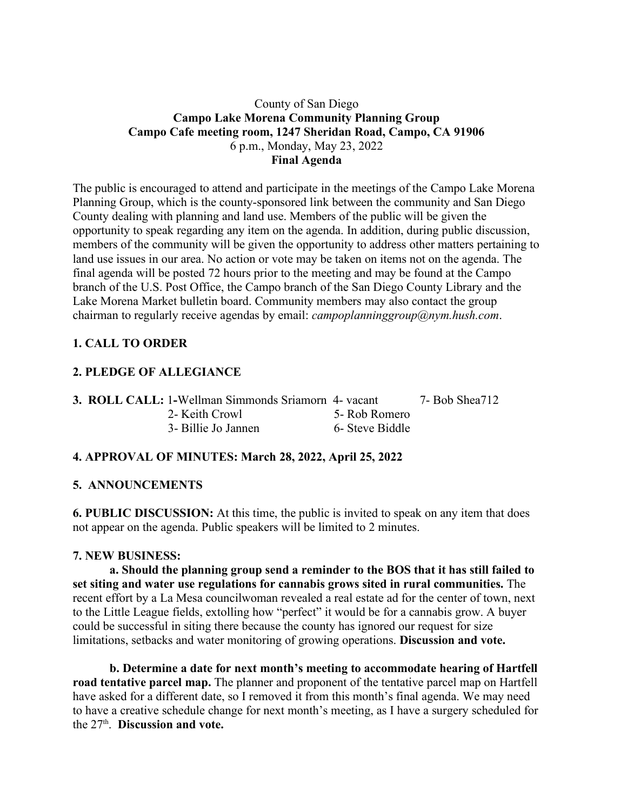## County of San Diego **Campo Lake Morena Community Planning Group Campo Cafe meeting room, 1247 Sheridan Road, Campo, CA 91906** 6 p.m., Monday, May 23, 2022 **Final Agenda**

The public is encouraged to attend and participate in the meetings of the Campo Lake Morena Planning Group, which is the county-sponsored link between the community and San Diego County dealing with planning and land use. Members of the public will be given the opportunity to speak regarding any item on the agenda. In addition, during public discussion, members of the community will be given the opportunity to address other matters pertaining to land use issues in our area. No action or vote may be taken on items not on the agenda. The final agenda will be posted 72 hours prior to the meeting and may be found at the Campo branch of the U.S. Post Office, the Campo branch of the San Diego County Library and the Lake Morena Market bulletin board. Community members may also contact the group chairman to regularly receive agendas by email: *campoplanninggroup@nym.hush.com*.

# **1. CALL TO ORDER**

## **2. PLEDGE OF ALLEGIANCE**

| <b>3. ROLL CALL: 1-Wellman Simmonds Sriamorn 4- vacant</b> |                 | 7- Bob Shea712 |
|------------------------------------------------------------|-----------------|----------------|
| 2- Keith Crowl                                             | 5- Rob Romero   |                |
| 3- Billie Jo Jannen                                        | 6- Steve Biddle |                |

## **4. APPROVAL OF MINUTES: March 28, 2022, April 25, 2022**

#### **5. ANNOUNCEMENTS**

**6. PUBLIC DISCUSSION:** At this time, the public is invited to speak on any item that does not appear on the agenda. Public speakers will be limited to 2 minutes.

#### **7. NEW BUSINESS:**

**a. Should the planning group send a reminder to the BOS that it has still failed to set siting and water use regulations for cannabis grows sited in rural communities.** The recent effort by a La Mesa councilwoman revealed a real estate ad for the center of town, next to the Little League fields, extolling how "perfect" it would be for a cannabis grow. A buyer could be successful in siting there because the county has ignored our request for size limitations, setbacks and water monitoring of growing operations. **Discussion and vote.**

**b. Determine a date for next month's meeting to accommodate hearing of Hartfell road tentative parcel map.** The planner and proponent of the tentative parcel map on Hartfell have asked for a different date, so I removed it from this month's final agenda. We may need to have a creative schedule change for next month's meeting, as I have a surgery scheduled for the 27th . **Discussion and vote.**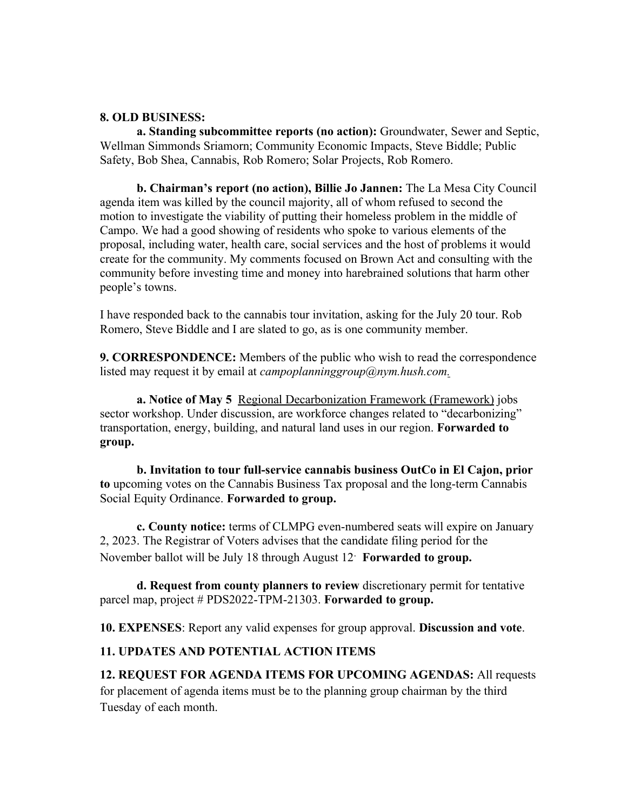#### **8. OLD BUSINESS:**

**a. Standing subcommittee reports (no action):** Groundwater, Sewer and Septic, Wellman Simmonds Sriamorn; Community Economic Impacts, Steve Biddle; Public Safety, Bob Shea, Cannabis, Rob Romero; Solar Projects, Rob Romero.

**b. Chairman's report (no action), Billie Jo Jannen:** The La Mesa City Council agenda item was killed by the council majority, all of whom refused to second the motion to investigate the viability of putting their homeless problem in the middle of Campo. We had a good showing of residents who spoke to various elements of the proposal, including water, health care, social services and the host of problems it would create for the community. My comments focused on Brown Act and consulting with the community before investing time and money into harebrained solutions that harm other people's towns.

I have responded back to the cannabis tour invitation, asking for the July 20 tour. Rob Romero, Steve Biddle and I are slated to go, as is one community member.

**9. CORRESPONDENCE:** Members of the public who wish to read the correspondence listed may request it by email at *campoplanninggroup@nym.hush.com.*

**a. Notice of May 5** Regional Decarbonization Framework (Framework) jobs sector workshop. Under discussion, are workforce changes related to "decarbonizing" transportation, energy, building, and natural land uses in our region. **Forwarded to group.**

**b. Invitation to tour full-service cannabis business OutCo in El Cajon, prior to** upcoming votes on the Cannabis Business Tax proposal and the long-term Cannabis Social Equity Ordinance. **Forwarded to group.**

**c. County notice:** terms of CLMPG even-numbered seats will expire on January 2, 2023. The Registrar of Voters advises that the candidate filing period for the November ballot will be July 18 through August 12. **Forwarded to group.**

**d. Request from county planners to review** discretionary permit for tentative parcel map, project # PDS2022-TPM-21303. **Forwarded to group.**

**10. EXPENSES**: Report any valid expenses for group approval. **Discussion and vote**.

#### **11. UPDATES AND POTENTIAL ACTION ITEMS**

**12. REQUEST FOR AGENDA ITEMS FOR UPCOMING AGENDAS:** All requests for placement of agenda items must be to the planning group chairman by the third Tuesday of each month.